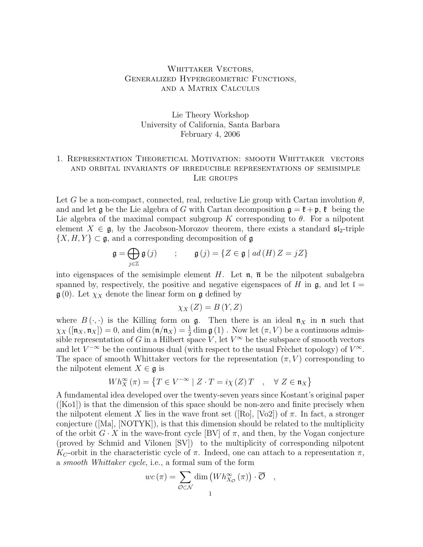## WHITTAKER VECTORS, Generalized Hypergeometric Functions, and a Matrix Calculus

# Lie Theory Workshop University of California, Santa Barbara February 4, 2006

## 1. Representation Theoretical Motivation: smooth Whittaker vectors and orbital invariants of irreducible representations of semisimple Lie groups

Let G be a non-compact, connected, real, reductive Lie group with Cartan involution  $\theta$ , and and let  $\frak g$  be the Lie algebra of G with Cartan decomposition  $\frak g = \frak k + \frak p$ ,  $\frak k$  being the Lie algebra of the maximal compact subgroup K corresponding to  $\theta$ . For a nilpotent element  $X \in \mathfrak{g}$ , by the Jacobson-Morozov theorem, there exists a standard  $\mathfrak{sl}_2$ -triple  $\{X, H, Y\} \subset \mathfrak{g}$ , and a corresponding decomposition of  $\mathfrak{g}$ 

$$
\mathfrak{g} = \bigoplus_{j \in \mathbb{Z}} \mathfrak{g}(j) \qquad ; \qquad \mathfrak{g}(j) = \{ Z \in \mathfrak{g} \mid ad(H) \, Z = jZ \}
$$

into eigenspaces of the semisimple element H. Let  $\mathfrak{n}$ ,  $\bar{\mathfrak{n}}$  be the nilpotent subalgebra spanned by, respectively, the positive and negative eigenspaces of H in  $\mathfrak{g}$ , and let  $\mathfrak{l} =$  $\mathfrak{g}(0)$ . Let  $\chi_X$  denote the linear form on  $\mathfrak{g}$  defined by

$$
\chi_X(Z) = B(Y, Z)
$$

where  $B(\cdot, \cdot)$  is the Killing form on g. Then there is an ideal  $\mathfrak{n}_X$  in n such that  $\chi_X([n_X, n_X]) = 0$ , and dim  $(n/n_X) = \frac{1}{2} \dim \mathfrak{g}(1)$ . Now let  $(\pi, V)$  be a continuous admissible representation of G in a Hilbert space V, let  $V^{\infty}$  be the subspace of smooth vectors and let  $V^{-\infty}$  be the continuous dual (with respect to the usual Frèchet topology) of  $V^{\infty}$ . The space of smooth Whittaker vectors for the representation  $(\pi, V)$  corresponding to the nilpotent element  $X \in \mathfrak{g}$  is

$$
Wh_X^{\infty}(\pi) = \left\{ T \in V^{-\infty} \mid Z \cdot T = i\chi(Z)T \quad , \quad \forall \ Z \in \mathfrak{n}_X \right\}
$$

A fundamental idea developed over the twenty-seven years since Kostant's original paper ([Ko1]) is that the dimension of this space should be non-zero and finite precisely when the nilpotent element X lies in the wave front set ([Ro], [Vo2]) of  $\pi$ . In fact, a stronger conjecture ([Ma], [NOTYK]), is that this dimension should be related to the multiplicity of the orbit  $G \cdot X$  in the wave-front cycle [BV] of  $\pi$ , and then, by the Vogan conjecture (proved by Schmid and Vilonen [SV]) to the multiplicity of corresponding nilpotent  $K_C$ -orbit in the characteristic cycle of  $\pi$ . Indeed, one can attach to a representation  $\pi$ , a *smooth Whittaker cycle*, i.e., a formal sum of the form

$$
wc(\pi) = \sum_{\mathcal{O} \subset \mathcal{N}} \dim (Wh_{X_{\mathcal{O}}}^{\infty}(\pi)) \cdot \overline{\mathcal{O}} ,
$$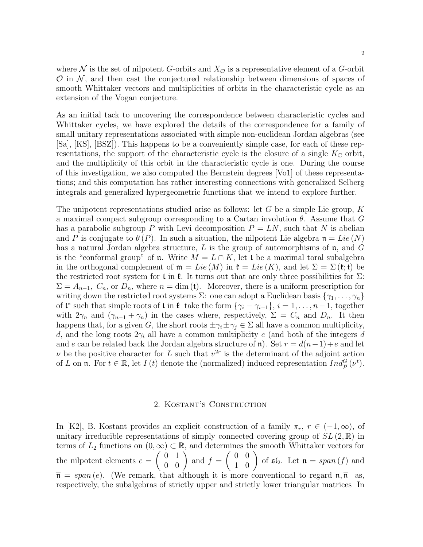where N is the set of nilpotent G-orbits and  $X_{\mathcal{O}}$  is a representative element of a G-orbit  $\mathcal O$  in  $\mathcal N$ , and then cast the conjectured relationship between dimensions of spaces of smooth Whittaker vectors and multiplicities of orbits in the characteristic cycle as an extension of the Vogan conjecture.

As an initial tack to uncovering the correspondence between characteristic cycles and Whittaker cycles, we have explored the details of the correspondence for a family of small unitary representations associated with simple non-euclidean Jordan algebras (see [Sa], [KS], [BSZ]). This happens to be a conveniently simple case, for each of these representations, the support of the characteristic cycle is the closure of a single  $K_{\mathbb{C}}$  orbit, and the multiplicity of this orbit in the characteristic cycle is one. During the course of this investigation, we also computed the Bernstein degrees [Vo1] of these representations; and this computation has rather interesting connections with generalized Selberg integrals and generalized hypergeometric functions that we intend to explore further.

The unipotent representations studied arise as follows: let G be a simple Lie group, K a maximal compact subgroup corresponding to a Cartan involution  $\theta$ . Assume that G has a parabolic subgroup P with Levi decomposition  $P = LN$ , such that N is abelian and P is conjugate to  $\theta(P)$ . In such a situation, the nilpotent Lie algebra  $\mathfrak{n} = Lie(N)$ has a natural Jordan algebra structure, L is the group of automorphisms of  $\mathfrak n$ , and G is the "conformal group" of **n**. Write  $M = L \cap K$ , let t be a maximal toral subalgebra in the orthogonal complement of  $\mathfrak{m} = Lie (M)$  in  $\mathfrak{k} = Lie (K)$ , and let  $\Sigma = \Sigma (\mathfrak{k}; \mathfrak{t})$  be the restricted root system for t in  $\mathfrak{k}$ . It turns out that are only three possibilities for  $\Sigma$ :  $\Sigma = A_{n-1}, C_n$ , or  $D_n$ , where  $n = \dim(\mathfrak{t})$ . Moreover, there is a uniform prescription for writing down the restricted root systems  $\Sigma$ : one can adopt a Euclidean basis  $\{\gamma_1, \ldots, \gamma_n\}$ of  $\mathfrak{t}^*$  such that simple roots of  $\mathfrak{t}$  in  $\mathfrak{k}$  take the form  $\{\gamma_i - \gamma_{i-1}\}, i = 1, \ldots, n-1$ , together with  $2\gamma_n$  and  $(\gamma_{n-1} + \gamma_n)$  in the cases where, respectively,  $\Sigma = C_n$  and  $D_n$ . It then happens that, for a given G, the short roots  $\pm \gamma_i \pm \gamma_j \in \Sigma$  all have a common multiplicity, d, and the long roots  $2\gamma_i$  all have a common multiplicity e (and both of the integers d and e can be related back the Jordan algebra structure of n). Set  $r = d(n-1) + e$  and let  $\nu$  be the positive character for L such that  $v^{2r}$  is the determinant of the adjoint action of L on n. For  $t \in \mathbb{R}$ , let  $I(t)$  denote the (normalized) induced representation  $Ind_{\overline{P}}^G(\nu^t)$ .

#### 2. Kostant's Construction

In [K2], B. Kostant provides an explicit construction of a family  $\pi_r$ ,  $r \in (-1,\infty)$ , of unitary irreducible representations of simply connected covering group of  $SL(2,\mathbb{R})$  in terms of  $L_2$  functions on  $(0,\infty) \subset \mathbb{R}$ , and determines the smooth Whittaker vectors for the nilpotent elements  $e =$  $\left(\begin{array}{cc} 0 & 1 \\ 0 & 0 \end{array}\right)$  and  $f =$  $\left(\begin{array}{cc} 0 & 0 \\ 1 & 0 \end{array}\right)$  of  $\mathfrak{sl}_2$ . Let  $\mathfrak{n} = span(f)$  and  $\bar{\mathfrak{n}} = span(e)$ . (We remark, that although it is more conventional to regard  $\mathfrak{n}, \bar{\mathfrak{n}}$  as, respectively, the subalgebras of strictly upper and strictly lower triangular matrices In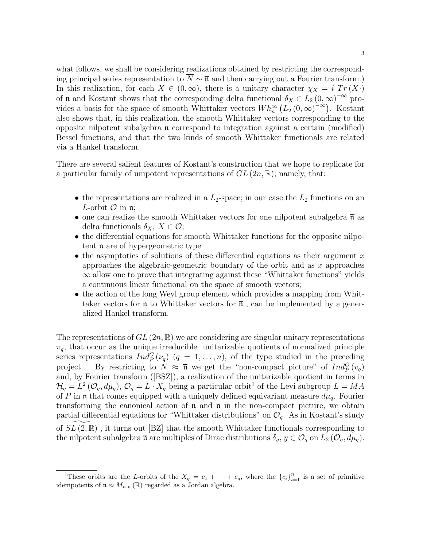what follows, we shall be considering realizations obtained by restricting the corresponding principal series representation to  $\overline{N} \sim \overline{\mathfrak{n}}$  and then carrying out a Fourier transform.) In this realization, for each  $X \in (0,\infty)$ , there is a unitary character  $\chi_X = i Tr(X)$ of  $\bar{\mathfrak{n}}$  and Kostant shows that the corresponding delta functional  $\delta_X \in L_2(0, \infty)^{-\infty}$  provides a basis for the space of smooth Whittaker vectors  $Wh_{\overline{n}}^{\infty} (L_2(0,\infty)^{-\infty})$ . Kostant also shows that, in this realization, the smooth Whittaker vectors corresponding to the opposite nilpotent subalgebra n correspond to integration against a certain (modified) Bessel functions, and that the two kinds of smooth Whittaker functionals are related via a Hankel transform.

There are several salient features of Kostant's construction that we hope to replicate for a particular family of unipotent representations of  $GL(2n,\mathbb{R})$ ; namely, that:

- the representations are realized in a  $L_2$ -space; in our case the  $L_2$  functions on an *L*-orbit  $\mathcal O$  in  $\mathfrak n$ ;
- one can realize the smooth Whittaker vectors for one nilpotent subalgebra  $\bar{\mathfrak{n}}$  as delta functionals  $\delta_X$ ,  $X \in \mathcal{O}$ ;
- the differential equations for smooth Whittaker functions for the opposite nilpotent n are of hypergeometric type
- the asymptotics of solutions of these differential equations as their argument  $x$ approaches the algebraic-geometric boundary of the orbit and as  $x$  approaches  $\infty$  allow one to prove that integrating against these "Whittaker functions" yields a continuous linear functional on the space of smooth vectors;
- the action of the long Weyl group element which provides a mapping from Whittaker vectors for **n** to Whittaker vectors for  $\bar{\mathfrak{n}}$ , can be implemented by a generalized Hankel transform.

The representations of  $GL(2n,\mathbb{R})$  we are considering are singular unitary representations  $\pi_q$ , that occur as the unique irreducible unitarizable quotients of normalized principle series representations  $Ind_P^G(\nu_q)$   $(q = 1, \ldots, n)$ , of the type studied in the preceding project. By restricting to  $\overline{N} \approx \overline{\mathfrak{n}}$  we get the "non-compact picture" of  $Ind_P^G(v_q)$ and, by Fourier transform ([BSZ]), a realization of the unitarizable quotient in terms in  $\mathcal{H}_q = L^2(\mathcal{O}_q, d\mu_q), \mathcal{O}_q = L \cdot X_q$  being a particular orbit<sup>1</sup> of the Levi subgroup  $L = MA$ of P in n that comes equipped with a uniquely defined equivariant measure  $d\mu_q$ . Fourier transforming the canonical action of **n** and  $\bar{\mathbf{n}}$  in the non-compact picture, we obtain partial differential equations for "Whittaker distributions" on  $\mathcal{O}_q$ . As in Kostant's study of  $SL(2,\mathbb{R})$ , it turns out [BZ] that the smooth Whittaker functionals corresponding to the nilpotent subalgebra  $\bar{\mathfrak{n}}$  are multiples of Dirac distributions  $\delta_y, y \in \mathcal{O}_q$  on  $L_2(\mathcal{O}_q, d\mu_q)$ .

<sup>&</sup>lt;sup>1</sup>These orbits are the L-orbits of the  $X_q = c_1 + \cdots + c_q$ , where the  $\{c_i\}_{i=1}^n$  is a set of primitive idempotents of  $\mathfrak{n} \approx M_{n,n}(\mathbb{R})$  regarded as a Jordan algebra.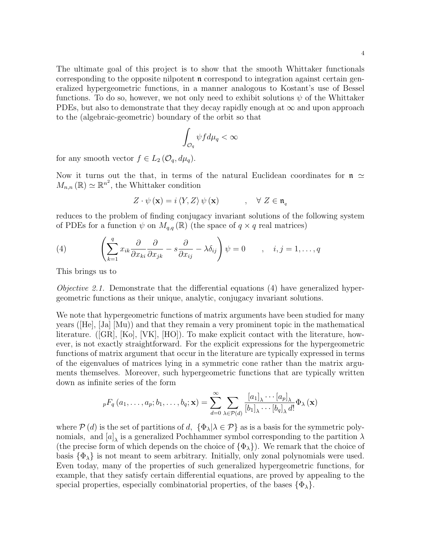The ultimate goal of this project is to show that the smooth Whittaker functionals corresponding to the opposite nilpotent  $\mathfrak n$  correspond to integration against certain generalized hypergeometric functions, in a manner analogous to Kostant's use of Bessel functions. To do so, however, we not only need to exhibit solutions  $\psi$  of the Whittaker PDEs, but also to demonstrate that they decay rapidly enough at  $\infty$  and upon approach to the (algebraic-geometric) boundary of the orbit so that

$$
\int_{\mathcal{O}_q} \psi f d\mu_q < \infty
$$

for any smooth vector  $f \in L_2(\mathcal{O}_q, d\mu_q)$ .

Now it turns out the that, in terms of the natural Euclidean coordinates for  $\mathfrak{n} \simeq$  $M_{n,n}(\mathbb{R}) \simeq \mathbb{R}^{n^2}$ , the Whittaker condition

$$
Z \cdot \psi(\mathbf{x}) = i \langle Y, Z \rangle \psi(\mathbf{x}) \qquad , \quad \forall \ Z \in \mathfrak{n}_q
$$

reduces to the problem of finding conjugacy invariant solutions of the following system of PDEs for a function  $\psi$  on  $M_{q,q}(\mathbb{R})$  (the space of  $q \times q$  real matrices)

(4) 
$$
\left(\sum_{k=1}^{q} x_{ik} \frac{\partial}{\partial x_{ki}} \frac{\partial}{\partial x_{jk}} - s \frac{\partial}{\partial x_{ij}} - \lambda \delta_{ij}\right) \psi = 0 \quad , \quad i, j = 1, ..., q
$$

This brings us to

Objective 2.1. Demonstrate that the differential equations (4) have generalized hypergeometric functions as their unique, analytic, conjugacy invariant solutions.

We note that hypergeometric functions of matrix arguments have been studied for many years ([He], [Ja] [Mu)) and that they remain a very prominent topic in the mathematical literature. ([GR], [Ko], [VK], [HO]). To make explicit contact with the literature, however, is not exactly straightforward. For the explicit expressions for the hypergeometric functions of matrix argument that occur in the literature are typically expressed in terms of the eigenvalues of matrices lying in a symmetric cone rather than the matrix arguments themselves. Moreover, such hypergeometric functions that are typically written down as infinite series of the form

$$
{}_{p}F_{q}(a_{1},...,a_{p};b_{1},...,b_{q};\mathbf{x}) = \sum_{d=0}^{\infty} \sum_{\lambda \in \mathcal{P}(d)} \frac{[a_{1}]_{\lambda} \cdots [a_{p}]_{\lambda}}{[b_{1}]_{\lambda} \cdots [b_{q}]_{\lambda} d!} \Phi_{\lambda}(\mathbf{x})
$$

where  $P(d)$  is the set of partitions of d,  $\{\Phi_{\lambda} | \lambda \in \mathcal{P}\}\$  as is a basis for the symmetric polynomials, and  $[a]_{\lambda}$  is a generalized Pochhammer symbol corresponding to the partition  $\lambda$ (the precise form of which depends on the choice of  $\{\Phi_{\lambda}\}\)$ ). We remark that the choice of basis  $\{\Phi_{\lambda}\}\$ is not meant to seem arbitrary. Initially, only zonal polynomials were used. Even today, many of the properties of such generalized hypergeometric functions, for example, that they satisfy certain differential equations, are proved by appealing to the special properties, especially combinatorial properties, of the bases  $\{\Phi_{\lambda}\}.$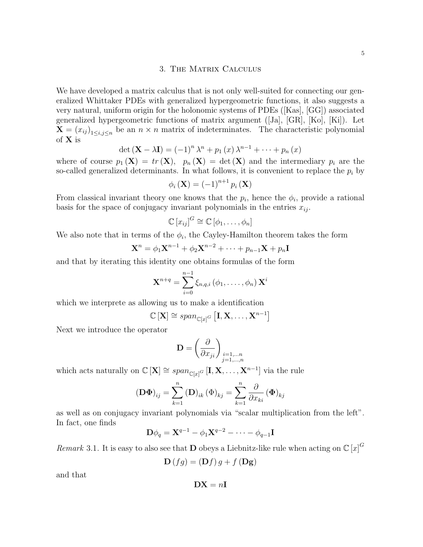5

### 3. The Matrix Calculus

We have developed a matrix calculus that is not only well-suited for connecting our generalized Whittaker PDEs with generalized hypergeometric functions, it also suggests a very natural, uniform origin for the holonomic systems of PDEs ([Kas], [GG]) associated generalized hypergeometric functions of matrix argument ([Ja], [GR], [Ko], [Ki]). Let  $\mathbf{X} = (x_{ij})_{1 \le i,j \le n}$  be an  $n \times n$  matrix of indeterminates. The characteristic polynomial of X is

$$
\det (\mathbf{X} - \lambda \mathbf{I}) = (-1)^n \lambda^n + p_1(x) \lambda^{n-1} + \dots + p_n(x)
$$

where of course  $p_1(\mathbf{X}) = tr(\mathbf{X}), p_n(\mathbf{X}) = det(\mathbf{X})$  and the intermediary  $p_i$  are the so-called generalized determinants. In what follows, it is convenient to replace the  $p_i$  by

$$
\phi_i\left(\mathbf{X}\right) = (-1)^{n+1} p_i\left(\mathbf{X}\right)
$$

From classical invariant theory one knows that the  $p_i$ , hence the  $\phi_i$ , provide a rational basis for the space of conjugacy invariant polynomials in the entries  $x_{ij}$ .

$$
\mathbb{C}[x_{ij}]^G \cong \mathbb{C}[\phi_1,\ldots,\phi_n]
$$

We also note that in terms of the  $\phi_i$ , the Cayley-Hamilton theorem takes the form

$$
\mathbf{X}^n = \phi_1 \mathbf{X}^{n-1} + \phi_2 \mathbf{X}^{n-2} + \dots + p_{n-1} \mathbf{X} + p_n \mathbf{I}
$$

and that by iterating this identity one obtains formulas of the form

$$
\mathbf{X}^{n+q} = \sum_{i=0}^{n-1} \xi_{n,q,i} \left(\phi_1, \ldots, \phi_n\right) \mathbf{X}^i
$$

which we interprete as allowing us to make a identification

$$
\mathbb{C}\left[\mathbf{X}\right] \cong \text{span}_{\mathbb{C}[x]^G}\left[\mathbf{I}, \mathbf{X}, \ldots, \mathbf{X}^{n-1}\right]
$$

Next we introduce the operator

$$
\mathbf{D} = \left(\frac{\partial}{\partial x_{ji}}\right)_{\substack{i=1,\dots,n\\j=1,\dots,n}}
$$

which acts naturally on  $\mathbb{C}[\mathbf{X}] \cong span_{\mathbb{C}[x]^G} [\mathbf{I}, \mathbf{X}, \dots, \mathbf{X}^{n-1}]$  via the rule

$$
\left(\mathbf{D}\mathbf{\Phi}\right)_{ij} = \sum_{k=1}^{n} \left(\mathbf{D}\right)_{ik} \left(\Phi\right)_{kj} = \sum_{k=1}^{n} \frac{\partial}{\partial x_{ki}} \left(\Phi\right)_{kj}
$$

as well as on conjugacy invariant polynomials via "scalar multiplication from the left". In fact, one finds

$$
\mathbf{D}\phi_q = \mathbf{X}^{q-1} - \phi_1\mathbf{X}^{q-2} - \cdots - \phi_{q-1}\mathbf{I}
$$

Remark 3.1. It is easy to also see that **D** obeys a Liebnitz-like rule when acting on  $\mathbb{C}[x]^G$ 

$$
\mathbf{D}(fg) = (\mathbf{D}f) g + f(\mathbf{Dg})
$$

and that

$$
\mathbf{DX}=n\mathbf{I}
$$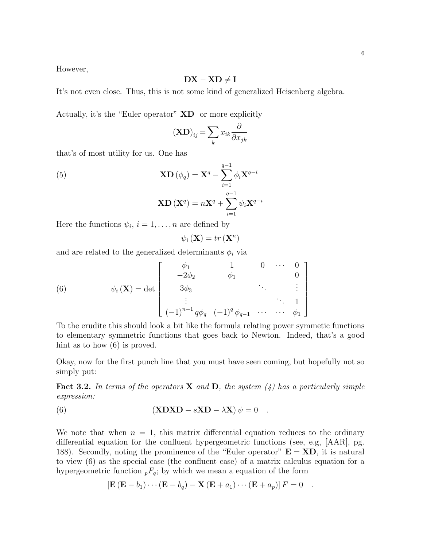However,

### $DX - XD \neq I$

It's not even close. Thus, this is not some kind of generalized Heisenberg algebra.

Actually, it's the "Euler operator" XD or more explicitly

$$
(\mathbf{XD})_{ij} = \sum_{k} x_{ik} \frac{\partial}{\partial x_{jk}}
$$

that's of most utility for us. One has

(5)  
\n
$$
\mathbf{X}\mathbf{D}(\phi_q) = \mathbf{X}^q - \sum_{i=1}^{q-1} \phi_i \mathbf{X}^{q-i}
$$
\n
$$
\mathbf{X}\mathbf{D}(\mathbf{X}^q) = n\mathbf{X}^q + \sum_{i=1}^{q-1} \psi_i \mathbf{X}^{q-i}
$$

Here the functions  $\psi_i$ ,  $i = 1, \ldots, n$  are defined by

$$
\psi_i\left(\mathbf{X}\right) = tr\left(\mathbf{X}^n\right)
$$

and are related to the generalized determinants  $\phi_i$  via

(6) 
$$
\psi_i(\mathbf{X}) = \det \begin{bmatrix} \phi_1 & 1 & 0 & \cdots & 0 \\ -2\phi_2 & \phi_1 & & 0 & \cdots & 0 \\ 3\phi_3 & & & \ddots & & \vdots \\ \vdots & & & & \ddots & 1 \\ (-1)^{n+1} q\phi_q & (-1)^q \phi_{q-1} & \cdots & \cdots & \phi_1 \end{bmatrix}
$$

To the erudite this should look a bit like the formula relating power symmetic functions to elementary symmetric functions that goes back to Newton. Indeed, that's a good hint as to how  $(6)$  is proved.

Okay, now for the first punch line that you must have seen coming, but hopefully not so simply put:

**Fact 3.2.** In terms of the operators **X** and **D**, the system  $\left(\frac{1}{4}\right)$  has a particularly simple expression:

(6) 
$$
(\mathbf{X}\mathbf{D}\mathbf{X}\mathbf{D} - s\mathbf{X}\mathbf{D} - \lambda\mathbf{X})\psi = 0.
$$

We note that when  $n = 1$ , this matrix differential equation reduces to the ordinary differential equation for the confluent hypergeometric functions (see, e.g, [AAR], pg. 188). Secondly, noting the prominence of the "Euler operator"  $E = XD$ , it is natural to view (6) as the special case (the confluent case) of a matrix calculus equation for a hypergeometric function  ${}_{p}F_{q}$ ; by which we mean a equation of the form

$$
\left[\mathbf{E}\left(\mathbf{E}-b_1\right)\cdots\left(\mathbf{E}-b_q\right)-\mathbf{X}\left(\mathbf{E}+a_1\right)\cdots\left(\mathbf{E}+a_p\right)\right]F=0.
$$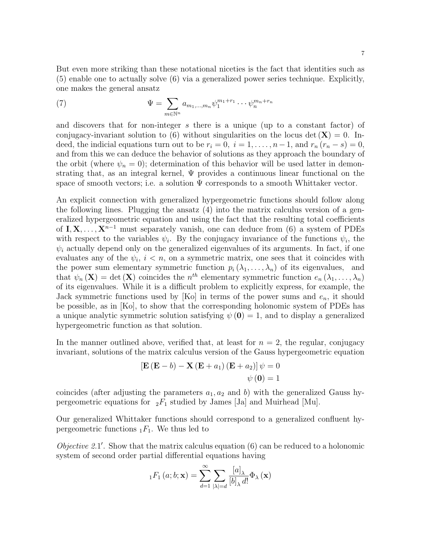But even more striking than these notational niceties is the fact that identities such as (5) enable one to actually solve (6) via a generalized power series technique. Explicitly, one makes the general ansatz

(7) 
$$
\Psi = \sum_{m \in \mathbb{N}^n} a_{m_1, ..., m_n} \psi_1^{m_1 + r_1} \cdots \psi_n^{m_n + r_n}
$$

and discovers that for non-integer s there is a unique (up to a constant factor) of conjugacy-invariant solution to (6) without singularities on the locus det  $(X) = 0$ . Indeed, the indicial equations turn out to be  $r_i = 0$ ,  $i = 1, \ldots, n-1$ , and  $r_n (r_n - s) = 0$ , and from this we can deduce the behavior of solutions as they approach the boundary of the orbit (where  $\psi_n = 0$ ); determination of this behavior will be used latter in demonstrating that, as an integral kernel,  $\Psi$  provides a continuous linear functional on the space of smooth vectors; i.e. a solution  $\Psi$  corresponds to a smooth Whittaker vector.

An explicit connection with generalized hypergeometric functions should follow along the following lines. Plugging the ansatz (4) into the matrix calculus version of a generalized hypergeometric equation and using the fact that the resulting total coefficients of **I**, **X**, . . . , **X**<sup>n-1</sup> must separately vanish, one can deduce from (6) a system of PDEs with respect to the variables  $\psi_i$ . By the conjugacy invariance of the functions  $\psi_i$ , the  $\psi_i$  actually depend only on the generalized eigenvalues of its arguments. In fact, if one evaluates any of the  $\psi_i$ ,  $i < n$ , on a symmetric matrix, one sees that it coincides with the power sum elementary symmetric function  $p_i(\lambda_1,\ldots,\lambda_n)$  of its eigenvalues, and that  $\psi_n(\mathbf{X}) = \det(\mathbf{X})$  coincides the  $n^{th}$  elementary symmetric function  $e_n(\lambda_1, \dots, \lambda_n)$ of its eigenvalues. While it is a difficult problem to explicitly express, for example, the Jack symmetric functions used by [Ko] in terms of the power sums and  $e_n$ , it should be possible, as in [Ko], to show that the corresponding holonomic system of PDEs has a unique analytic symmetric solution satisfying  $\psi(\mathbf{0}) = 1$ , and to display a generalized hypergeometric function as that solution.

In the manner outlined above, verified that, at least for  $n = 2$ , the regular, conjugacy invariant, solutions of the matrix calculus version of the Gauss hypergeometric equation

$$
\begin{aligned} \left[\mathbf{E}\left(\mathbf{E}-b\right)-\mathbf{X}\left(\mathbf{E}+a_{1}\right)\left(\mathbf{E}+a_{2}\right)\right]\psi &= 0\\ \psi\left(\mathbf{0}\right) &= 1 \end{aligned}
$$

coincides (after adjusting the parameters  $a_1, a_2$  and b) with the generalized Gauss hypergeometric equations for  ${}_2F_1$  studied by James [Ja] and Muirhead [Mu].

Our generalized Whittaker functions should correspond to a generalized confluent hypergeometric functions  $_1F_1$ . We thus led to

Objective 2.1'. Show that the matrix calculus equation (6) can be reduced to a holonomic system of second order partial differential equations having

$$
{}_{1}F_{1}\left(a;b;\mathbf{x}\right) = \sum_{d=1}^{\infty} \sum_{|\lambda|=d} \frac{[a]_{\lambda}}{[b]_{\lambda} d!} \Phi_{\lambda}\left(\mathbf{x}\right)
$$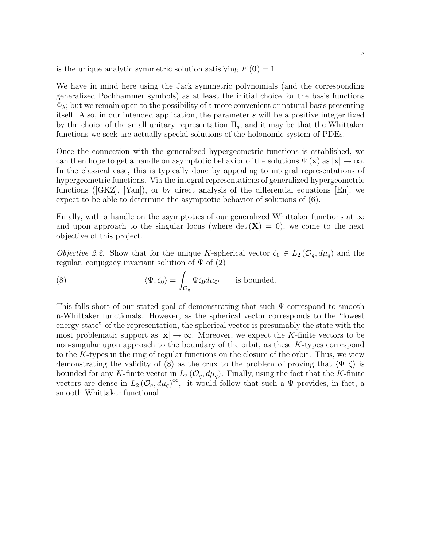is the unique analytic symmetric solution satisfying  $F(\mathbf{0}) = 1$ .

We have in mind here using the Jack symmetric polynomials (and the corresponding generalized Pochhammer symbols) as at least the initial choice for the basis functions  $\Phi_{\lambda}$ ; but we remain open to the possibility of a more convenient or natural basis presenting itself. Also, in our intended application, the parameter s will be a positive integer fixed by the choice of the small unitary representation  $\Pi_q$ , and it may be that the Whittaker functions we seek are actually special solutions of the holonomic system of PDEs.

Once the connection with the generalized hypergeometric functions is established, we can then hope to get a handle on asymptotic behavior of the solutions  $\Psi(\mathbf{x})$  as  $|\mathbf{x}| \to \infty$ . In the classical case, this is typically done by appealing to integral representations of hypergeometric functions. Via the integral representations of generalized hypergeometric functions ([GKZ], [Yan]), or by direct analysis of the differential equations [En], we expect to be able to determine the asymptotic behavior of solutions of (6).

Finally, with a handle on the asymptotics of our generalized Whittaker functions at  $\infty$ and upon approach to the singular locus (where  $\det(X) = 0$ ), we come to the next objective of this project.

*Objective 2.2.* Show that for the unique K-spherical vector  $\zeta_0 \in L_2(\mathcal{O}_q, d\mu_q)$  and the regular, conjugacy invariant solution of  $\Psi$  of (2)

(8) 
$$
\langle \Psi, \zeta_0 \rangle = \int_{\mathcal{O}_q} \Psi \zeta_0 d\mu_{\mathcal{O}}
$$
 is bounded.

This falls short of our stated goal of demonstrating that such Ψ correspond to smooth n-Whittaker functionals. However, as the spherical vector corresponds to the "lowest energy state" of the representation, the spherical vector is presumably the state with the most problematic support as  $|x| \to \infty$ . Moreover, we expect the K-finite vectors to be non-singular upon approach to the boundary of the orbit, as these K-types correspond to the K-types in the ring of regular functions on the closure of the orbit. Thus, we view demonstrating the validity of (8) as the crux to the problem of proving that  $\langle \Psi, \zeta \rangle$  is bounded for any K-finite vector in  $L_2(\mathcal{O}_q, d\mu_q)$ . Finally, using the fact that the K-finite vectors are dense in  $L_2(\mathcal{O}_q, d\mu_q)^\infty$ , it would follow that such a  $\Psi$  provides, in fact, a smooth Whittaker functional.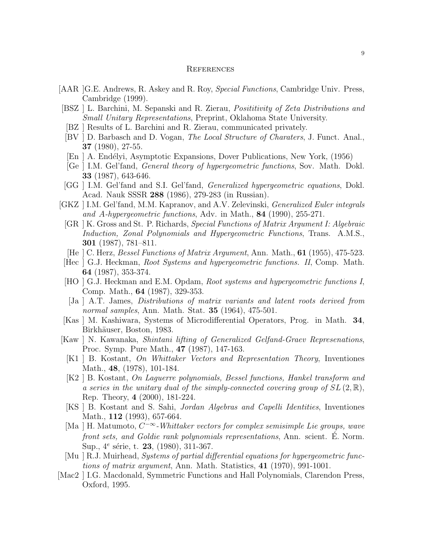#### **REFERENCES**

- [AAR ]G.E. Andrews, R. Askey and R. Roy, Special Functions, Cambridge Univ. Press, Cambridge (1999).
- [BSZ ] L. Barchini, M. Sepanski and R. Zierau, Posititivity of Zeta Distributions and Small Unitary Representations, Preprint, Oklahoma State University.
- [BZ ] Results of L. Barchini and R. Zierau, communicated privately.
- [BV ] D. Barbasch and D. Vogan, The Local Structure of Charaters, J. Funct. Anal., 37 (1980), 27-55.
- [En ] A. Endélyi, Asymptotic Expansions, Dover Publications, New York, (1956)
- [Ge ] I.M. Gel'fand, General theory of hypergeometric functions, Sov. Math. Dokl. 33 (1987), 643-646.
- [GG ] I.M. Gel'fand and S.I. Gel'fand, Generalized hypergeometric equations, Dokl. Acad. Nauk SSSR 288 (1986), 279-283 (in Russian).
- [GKZ ] I.M. Gel'fand, M.M. Kapranov, and A.V. Zelevinski, Generalized Euler integrals and A-hypergeometric functions, Adv. in Math.,  $84$  (1990), 255-271.
	- [GR ] K. Gross and St. P. Richards, Special Functions of Matrix Argument I: Algebraic Induction, Zonal Polynomials and Hypergeometric Functions, Trans. A.M.S., 301 (1987), 781–811.
	- [He ] C. Herz, Bessel Functions of Matrix Argument, Ann. Math., 61 (1955), 475-523.
- [Hec ] G.J. Heckman, Root Systems and hypergeometric functions. II, Comp. Math. 64 (1987), 353-374.
- [HO ] G.J. Heckman and E.M. Opdam, Root systems and hypergeometric functions I, Comp. Math., 64 (1987), 329-353.
- [Ja ] A.T. James, Distributions of matrix variants and latent roots derived from normal samples, Ann. Math. Stat. **35** (1964), 475-501.
- [Kas ] M. Kashiwara, Systems of Microdifferential Operators, Prog. in Math. 34, Birkhäuser, Boston, 1983.
- [Kaw ] N. Kawanaka, Shintani lifting of Generalized Gelfand-Graev Represenations, Proc. Symp. Pure Math., 47 (1987), 147-163.
- [K1 ] B. Kostant, On Whittaker Vectors and Representation Theory, Inventiones Math., 48, (1978), 101-184.
- [K2 ] B. Kostant, On Laguerre polynomials, Bessel functions, Hankel transform and a series in the unitary dual of the simply-connected covering group of  $SL(2,\mathbb{R})$ , Rep. Theory, 4 (2000), 181-224.
- [KS ] B. Kostant and S. Sahi, Jordan Algebras and Capelli Identities, Inventiones Math., **112** (1993), 657-664.
- [Ma | H. Matumoto,  $C^{-\infty}$ -Whittaker vectors for complex semisimple Lie groups, wave front sets, and Goldie rank polynomials representations, Ann. scient. E. Norm. Sup.,  $4^e$  série, t. **23**, (1980), 311-367.
- [Mu ] R.J. Muirhead, Systems of partial differential equations for hypergeometric functions of matrix argument, Ann. Math. Statistics, 41 (1970), 991-1001.
- [Mac2 ] I.G. Macdonald, Symmetric Functions and Hall Polynomials, Clarendon Press, Oxford, 1995.